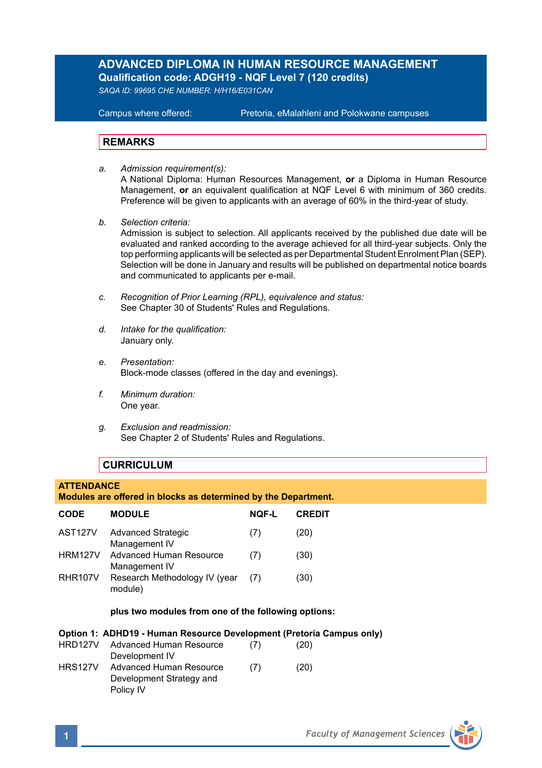# **ADVANCED DIPLOMA IN HUMAN RESOURCE MANAGEMENT Qualification code: ADGH19 - NQF Level 7 (120 credits)**

*SAQA ID: 99695 CHE NUMBER: H/H16/E031CAN* 

**Campus where offered:** 

Pretoria, eMalahleni and Polokwane campuses

# **REMARKS**

- *a. Admission requirement(s):*  A National Diploma: Human Resources Management, **or** a Diploma in Human Resource Management, **or** an equivalent qualification at NQF Level 6 with minimum of 360 credits. Preference will be given to applicants with an average of 60% in the third-year of study.
- *b. Selection criteria:* Admission is subject to selection. All applicants received by the published due date will be evaluated and ranked according to the average achieved for all third-year subjects. Only the top performing applicants will be selected as per Departmental Student Enrolment Plan (SEP). Selection will be done in January and results will be published on departmental notice boards and communicated to applicants per e-mail.
- *c. Recognition of Prior Learning (RPL), equivalence and status:* See Chapter 30 of Students' Rules and Regulations.
- *d. Intake for the qualification:* January only.
- *e. Presentation:* Block-mode classes (offered in the day and evenings).
- *f. Minimum duration:* One year.
- *g. Exclusion and readmission:* See Chapter 2 of Students' Rules and Regulations.

# **CURRICULUM**

### **ATTENDANCE**

# **Modules are offered in blocks as determined by the Department.**

| <b>CODE</b>          | <b>MODULE</b>                              | <b>NOF-L</b> | <b>CREDIT</b> |
|----------------------|--------------------------------------------|--------------|---------------|
| AST <sub>127V</sub>  | <b>Advanced Strategic</b><br>Management IV | (7)          | (20)          |
| <b>HRM127V</b>       | Advanced Human Resource<br>Management IV   | (7)          | (30)          |
| RHR <sub>107</sub> V | Research Methodology IV (year<br>module)   | (7)          | (30)          |

# **plus two modules from one of the following options:**

### **Option 1: ADHD19 - Human Resource Development (Pretoria Campus only)**

| HRD127V        | Advanced Human Resource  | (7) | (20) |
|----------------|--------------------------|-----|------|
|                | Development IV           |     |      |
| <b>HRS127V</b> | Advanced Human Resource  | (7) | (20) |
|                | Development Strategy and |     |      |
|                | Policy IV                |     |      |

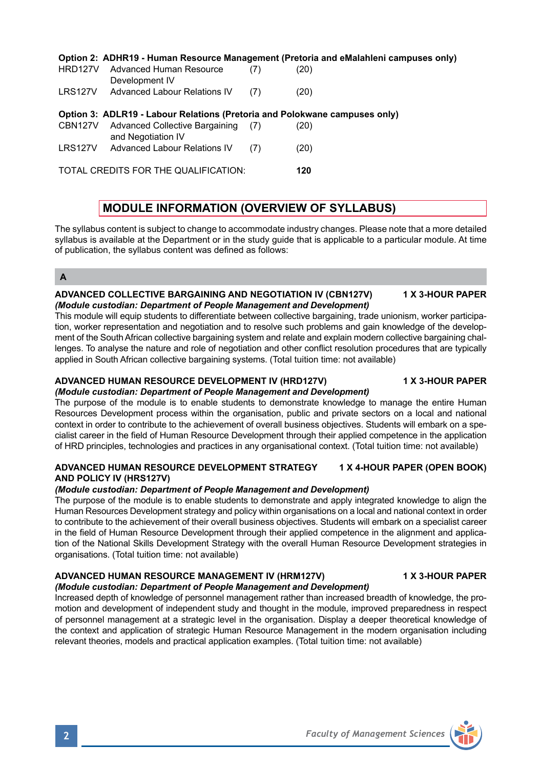#### **Option 2: ADHR19 - Human Resource Management (Pretoria and eMalahleni campuses only)**<br>
UPD1971 - Advanced Universe Peasures  $H = R \cdot 1000$

| <b>HRUIZIV</b> | Auvaliceu Hulliali Resource<br>Development IV                              | $\left( \frac{1}{2} \right)$ | ا ڪا |  |
|----------------|----------------------------------------------------------------------------|------------------------------|------|--|
| LRS127V        | Advanced Labour Relations IV                                               | (7)                          | (20) |  |
|                |                                                                            |                              |      |  |
|                | Option 3: ADLR19 - Labour Relations (Pretoria and Polokwane campuses only) |                              |      |  |
|                | CBN127V Advanced Collective Bargaining (7)<br>and Negotiation IV           |                              | (20) |  |

TOTAL CREDITS FOR THE QUALIFICATION: **120**

# **MODULE INFORMATION (OVERVIEW OF SYLLABUS)**

The syllabus content is subject to change to accommodate industry changes. Please note that a more detailed syllabus is available at the Department or in the study guide that is applicable to a particular module. At time of publication, the syllabus content was defined as follows:

# **A**

### **ADVANCED COLLECTIVE BARGAINING AND NEGOTIATION IV (CBN127V) 1 X 3-HOUR PAPER** *(Module custodian: Department of People Management and Development)*

This module will equip students to differentiate between collective bargaining, trade unionism, worker participation, worker representation and negotiation and to resolve such problems and gain knowledge of the development of the South African collective bargaining system and relate and explain modern collective bargaining challenges. To analyse the nature and role of negotiation and other conflict resolution procedures that are typically applied in South African collective bargaining systems. (Total tuition time: not available)

#### **ADVANCED HUMAN RESOURCE DEVELOPMENT IV (HRD127V) 1 X 3-HOUR PAPER** *(Module custodian: Department of People Management and Development)*

The purpose of the module is to enable students to demonstrate knowledge to manage the entire Human Resources Development process within the organisation, public and private sectors on a local and national context in order to contribute to the achievement of overall business objectives. Students will embark on a specialist career in the field of Human Resource Development through their applied competence in the application of HRD principles, technologies and practices in any organisational context. (Total tuition time: not available)

## **ADVANCED HUMAN RESOURCE DEVELOPMENT STRATEGY 1 X 4-HOUR PAPER (OPEN BOOK) AND POLICY IV (HRS127V)**

# *(Module custodian: Department of People Management and Development)*

The purpose of the module is to enable students to demonstrate and apply integrated knowledge to align the Human Resources Development strategy and policy within organisations on a local and national context in order to contribute to the achievement of their overall business objectives. Students will embark on a specialist career in the field of Human Resource Development through their applied competence in the alignment and application of the National Skills Development Strategy with the overall Human Resource Development strategies in organisations. (Total tuition time: not available)

### **ADVANCED HUMAN RESOURCE MANAGEMENT IV (HRM127V) 1 X 3-HOUR PAPER** *(Module custodian: Department of People Management and Development)*

Increased depth of knowledge of personnel management rather than increased breadth of knowledge, the promotion and development of independent study and thought in the module, improved preparedness in respect of personnel management at a strategic level in the organisation. Display a deeper theoretical knowledge of the context and application of strategic Human Resource Management in the modern organisation including relevant theories, models and practical application examples. (Total tuition time: not available)